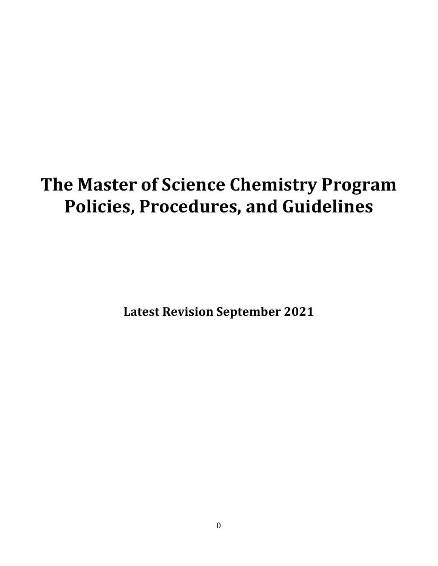# **The Master of Science Chemistry Program Policies, Procedures, and Guidelines**

**Latest Revision September 2021**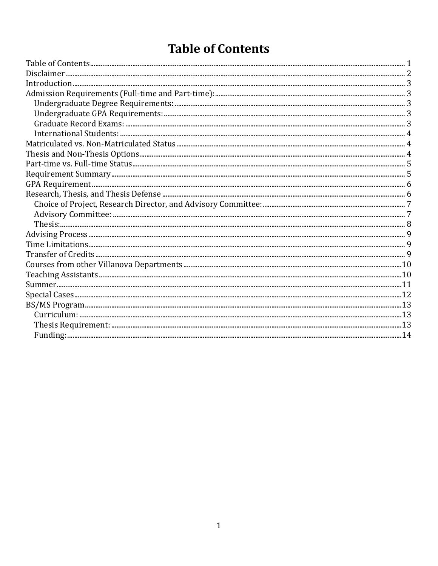# **Table of Contents**

| $Summer. 11$ |  |
|--------------|--|
|              |  |
|              |  |
|              |  |
|              |  |
|              |  |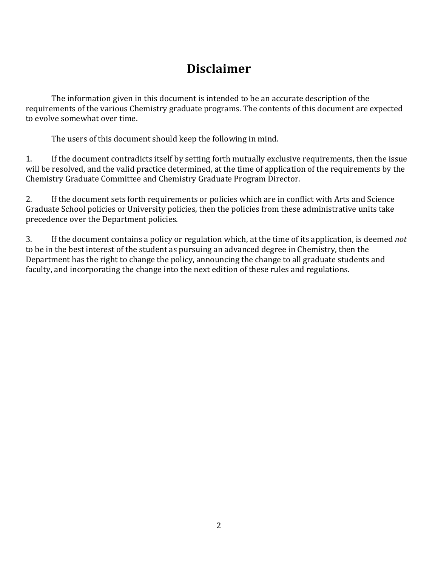# **Disclaimer**

The information given in this document is intended to be an accurate description of the requirements of the various Chemistry graduate programs. The contents of this document are expected to evolve somewhat over time.

The users of this document should keep the following in mind.

1. If the document contradicts itself by setting forth mutually exclusive requirements, then the issue will be resolved, and the valid practice determined, at the time of application of the requirements by the Chemistry Graduate Committee and Chemistry Graduate Program Director.

2. If the document sets forth requirements or policies which are in conflict with Arts and Science Graduate School policies or University policies, then the policies from these administrative units take precedence over the Department policies.

3. If the document contains a policy or regulation which, at the time of its application, is deemed *not* to be in the best interest of the student as pursuing an advanced degree in Chemistry, then the Department has the right to change the policy, announcing the change to all graduate students and faculty, and incorporating the change into the next edition of these rules and regulations.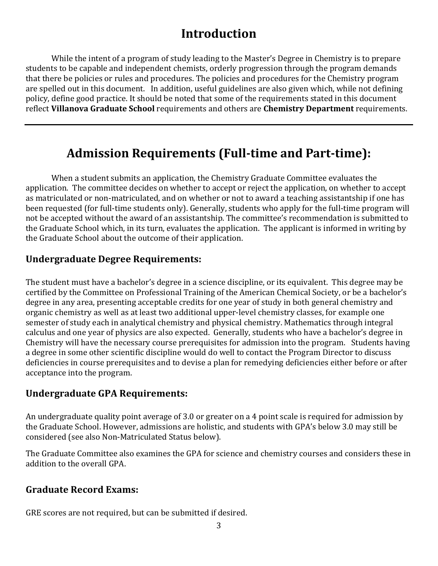## **Introduction**

While the intent of a program of study leading to the Master's Degree in Chemistry is to prepare students to be capable and independent chemists, orderly progression through the program demands that there be policies or rules and procedures. The policies and procedures for the Chemistry program are spelled out in this document. In addition, useful guidelines are also given which, while not defining policy, define good practice. It should be noted that some of the requirements stated in this document reflect Villanova Graduate School requirements and others are Chemistry Department requirements.

# Admission Requirements (Full-time and Part-time):

When a student submits an application, the Chemistry Graduate Committee evaluates the application. The committee decides on whether to accept or reject the application, on whether to accept as matriculated or non-matriculated, and on whether or not to award a teaching assistantship if one has been requested (for full-time students only). Generally, students who apply for the full-time program will not be accepted without the award of an assistantship. The committee's recommendation is submitted to the Graduate School which, in its turn, evaluates the application. The applicant is informed in writing by the Graduate School about the outcome of their application.

### **Undergraduate Degree Requirements:**

The student must have a bachelor's degree in a science discipline, or its equivalent. This degree may be certified by the Committee on Professional Training of the American Chemical Society, or be a bachelor's degree in any area, presenting acceptable credits for one year of study in both general chemistry and organic chemistry as well as at least two additional upper-level chemistry classes, for example one semester of study each in analytical chemistry and physical chemistry. Mathematics through integral calculus and one year of physics are also expected. Generally, students who have a bachelor's degree in Chemistry will have the necessary course prerequisites for admission into the program. Students having a degree in some other scientific discipline would do well to contact the Program Director to discuss deficiencies in course prerequisites and to devise a plan for remedying deficiencies either before or after acceptance into the program.

#### **Undergraduate GPA Requirements:**

An undergraduate quality point average of 3.0 or greater on a 4 point scale is required for admission by the Graduate School. However, admissions are holistic, and students with GPA's below 3.0 may still be considered (see also Non-Matriculated Status below).

The Graduate Committee also examines the GPA for science and chemistry courses and considers these in addition to the overall GPA.

#### **Graduate Record Exams:**

GRE scores are not required, but can be submitted if desired.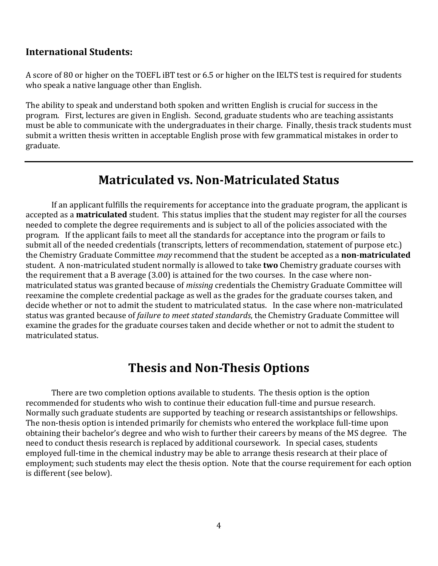#### **International Students:**

A score of 80 or higher on the TOEFL iBT test or 6.5 or higher on the IELTS test is required for students who speak a native language other than English.

The ability to speak and understand both spoken and written English is crucial for success in the program. First, lectures are given in English. Second, graduate students who are teaching assistants must be able to communicate with the undergraduates in their charge. Finally, thesis track students must submit a written thesis written in acceptable English prose with few grammatical mistakes in order to graduate.

### **Matriculated vs. Non-Matriculated Status**

If an applicant fulfills the requirements for acceptance into the graduate program, the applicant is accepted as a **matriculated** student. This status implies that the student may register for all the courses needed to complete the degree requirements and is subject to all of the policies associated with the program. If the applicant fails to meet all the standards for acceptance into the program or fails to submit all of the needed credentials (transcripts, letters of recommendation, statement of purpose etc.) the Chemistry Graduate Committee *may* recommend that the student be accepted as a **non-matriculated** student. A non-matriculated student normally is allowed to take **two** Chemistry graduate courses with the requirement that a B average  $(3.00)$  is attained for the two courses. In the case where nonmatriculated status was granted because of *missing* credentials the Chemistry Graduate Committee will reexamine the complete credential package as well as the grades for the graduate courses taken, and decide whether or not to admit the student to matriculated status. In the case where non-matriculated status was granted because of *failure to meet stated standards*, the Chemistry Graduate Committee will examine the grades for the graduate courses taken and decide whether or not to admit the student to matriculated status.

### **Thesis and Non-Thesis Options**

There are two completion options available to students. The thesis option is the option recommended for students who wish to continue their education full-time and pursue research. Normally such graduate students are supported by teaching or research assistantships or fellowships. The non-thesis option is intended primarily for chemists who entered the workplace full-time upon obtaining their bachelor's degree and who wish to further their careers by means of the MS degree. The need to conduct thesis research is replaced by additional coursework. In special cases, students employed full-time in the chemical industry may be able to arrange thesis research at their place of employment; such students may elect the thesis option. Note that the course requirement for each option is different (see below).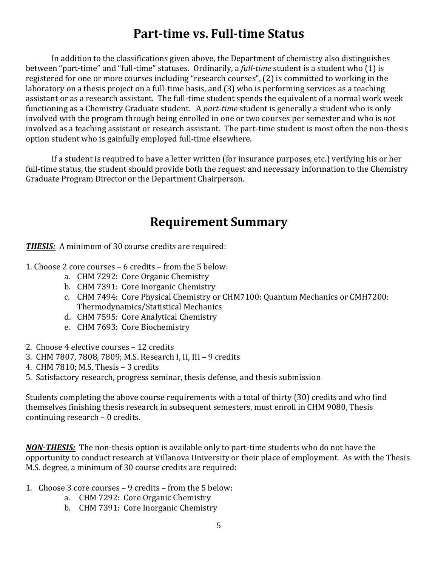### **Part-time vs. Full-time Status**

In addition to the classifications given above, the Department of chemistry also distinguishes between "part-time" and "full-time" statuses. Ordinarily, a *full-time* student is a student who (1) is registered for one or more courses including "research courses", (2) is committed to working in the laboratory on a thesis project on a full-time basis, and (3) who is performing services as a teaching assistant or as a research assistant. The full-time student spends the equivalent of a normal work week functioning as a Chemistry Graduate student. A *part-time* student is generally a student who is only involved with the program through being enrolled in one or two courses per semester and who is *not* involved as a teaching assistant or research assistant. The part-time student is most often the non-thesis option student who is gainfully employed full-time elsewhere.

If a student is required to have a letter written (for insurance purposes, etc.) verifying his or her full-time status, the student should provide both the request and necessary information to the Chemistry Graduate Program Director or the Department Chairperson.

### **Requirement Summary**

**THESIS:** A minimum of 30 course credits are required:

- 1. Choose 2 core courses 6 credits from the 5 below:
	- a. CHM 7292: Core Organic Chemistry
	- b. CHM 7391: Core Inorganic Chemistry
	- c. CHM 7494: Core Physical Chemistry or CHM7100: Quantum Mechanics or CMH7200: Thermodynamics/Statistical Mechanics
	- d. CHM 7595: Core Analytical Chemistry
	- e. CHM 7693: Core Biochemistry
- 2. Choose 4 elective courses 12 credits
- 3. CHM 7807, 7808, 7809; M.S. Research I, II, III 9 credits
- 4. CHM 7810; M.S. Thesis 3 credits
- 5. Satisfactory research, progress seminar, thesis defense, and thesis submission

Students completing the above course requirements with a total of thirty (30) credits and who find themselves finishing thesis research in subsequent semesters, must enroll in CHM 9080, Thesis continuing research  $-0$  credits.

*NON-THESIS:* The non-thesis option is available only to part-time students who do not have the opportunity to conduct research at Villanova University or their place of employment. As with the Thesis M.S. degree, a minimum of 30 course credits are required:

- 1. Choose 3 core courses 9 credits from the 5 below:
	- a. CHM 7292: Core Organic Chemistry
	- b. CHM 7391: Core Inorganic Chemistry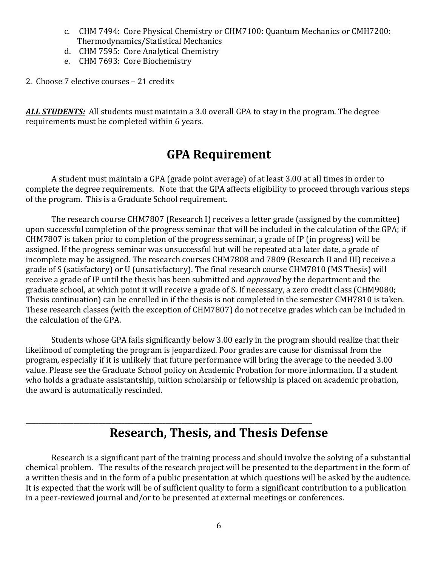- c. CHM 7494: Core Physical Chemistry or CHM7100: Quantum Mechanics or CMH7200: Thermodynamics/Statistical Mechanics
- d. CHM 7595: Core Analytical Chemistry
- e. CHM 7693: Core Biochemistry
- 2. Choose 7 elective courses 21 credits

**ALL STUDENTS:** All students must maintain a 3.0 overall GPA to stay in the program. The degree requirements must be completed within 6 years.

### **GPA Requirement**

A student must maintain a GPA (grade point average) of at least 3.00 at all times in order to complete the degree requirements. Note that the GPA affects eligibility to proceed through various steps of the program. This is a Graduate School requirement.

The research course CHM7807 (Research I) receives a letter grade (assigned by the committee) upon successful completion of the progress seminar that will be included in the calculation of the GPA; if  $CHM7807$  is taken prior to completion of the progress seminar, a grade of IP (in progress) will be assigned. If the progress seminar was unsuccessful but will be repeated at a later date, a grade of incomplete may be assigned. The research courses CHM7808 and 7809 (Research II and III) receive a grade of S (satisfactory) or U (unsatisfactory). The final research course CHM7810 (MS Thesis) will receive a grade of IP until the thesis has been submitted and *approved* by the department and the graduate school, at which point it will receive a grade of S. If necessary, a zero credit class (CHM9080; Thesis continuation) can be enrolled in if the thesis is not completed in the semester CMH7810 is taken. These research classes (with the exception of CHM7807) do not receive grades which can be included in the calculation of the GPA.

Students whose GPA fails significantly below 3.00 early in the program should realize that their likelihood of completing the program is jeopardized. Poor grades are cause for dismissal from the program, especially if it is unlikely that future performance will bring the average to the needed 3.00 value. Please see the Graduate School policy on Academic Probation for more information. If a student who holds a graduate assistantship, tuition scholarship or fellowship is placed on academic probation, the award is automatically rescinded.

### **Research, Thesis, and Thesis Defense**

**\_\_\_\_\_\_\_\_\_\_\_\_\_\_\_\_\_\_\_\_\_\_\_\_\_\_\_\_\_\_\_\_\_\_\_\_\_\_\_\_\_\_\_\_\_\_\_\_\_\_\_\_\_\_\_\_\_\_\_\_\_\_\_\_\_\_\_\_\_\_\_\_\_\_\_\_\_\_\_\_\_\_\_\_\_\_\_\_\_\_**

Research is a significant part of the training process and should involve the solving of a substantial chemical problem. The results of the research project will be presented to the department in the form of a written thesis and in the form of a public presentation at which questions will be asked by the audience. It is expected that the work will be of sufficient quality to form a significant contribution to a publication in a peer-reviewed journal and/or to be presented at external meetings or conferences.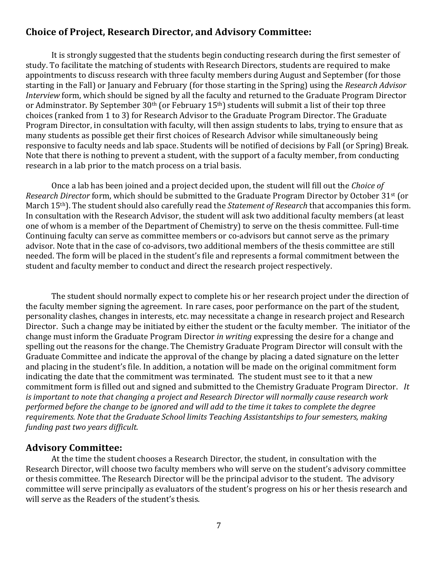#### **Choice of Project, Research Director, and Advisory Committee:**

It is strongly suggested that the students begin conducting research during the first semester of study. To facilitate the matching of students with Research Directors, students are required to make appointments to discuss research with three faculty members during August and September (for those starting in the Fall) or January and February (for those starting in the Spring) using the *Research Advisor Interview* form, which should be signed by all the faculty and returned to the Graduate Program Director or Adminstrator. By September 30<sup>th</sup> (or February 15<sup>th</sup>) students will submit a list of their top three choices (ranked from 1 to 3) for Research Advisor to the Graduate Program Director. The Graduate Program Director, in consultation with faculty, will then assign students to labs, trying to ensure that as many students as possible get their first choices of Research Advisor while simultaneously being responsive to faculty needs and lab space. Students will be notified of decisions by Fall (or Spring) Break. Note that there is nothing to prevent a student, with the support of a faculty member, from conducting research in a lab prior to the match process on a trial basis.

Once a lab has been joined and a project decided upon, the student will fill out the *Choice of Research Director* form, which should be submitted to the Graduate Program Director by October 31<sup>st</sup> (or March 15<sup>th</sup>). The student should also carefully read the *Statement of Research* that accompanies this form. In consultation with the Research Advisor, the student will ask two additional faculty members (at least one of whom is a member of the Department of Chemistry) to serve on the thesis committee. Full-time Continuing faculty can serve as committee members or co-advisors but cannot serve as the primary advisor. Note that in the case of co-advisors, two additional members of the thesis committee are still needed. The form will be placed in the student's file and represents a formal commitment between the student and faculty member to conduct and direct the research project respectively.

The student should normally expect to complete his or her research project under the direction of the faculty member signing the agreement. In rare cases, poor performance on the part of the student, personality clashes, changes in interests, etc. may necessitate a change in research project and Research Director. Such a change may be initiated by either the student or the faculty member. The initiator of the change must inform the Graduate Program Director *in writing* expressing the desire for a change and spelling out the reasons for the change. The Chemistry Graduate Program Director will consult with the Graduate Committee and indicate the approval of the change by placing a dated signature on the letter and placing in the student's file. In addition, a notation will be made on the original commitment form indicating the date that the commitment was terminated. The student must see to it that a new commitment form is filled out and signed and submitted to the Chemistry Graduate Program Director. It *is* important to note that changing a project and Research Director will normally cause research work performed before the change to be ignored and will add to the time it takes to complete the degree *requirements.* Note that the Graduate School limits Teaching Assistantships to four semesters, making *funding past two years difficult.* 

#### **Advisory Committee:**

At the time the student chooses a Research Director, the student, in consultation with the Research Director, will choose two faculty members who will serve on the student's advisory committee or thesis committee. The Research Director will be the principal advisor to the student. The advisory committee will serve principally as evaluators of the student's progress on his or her thesis research and will serve as the Readers of the student's thesis.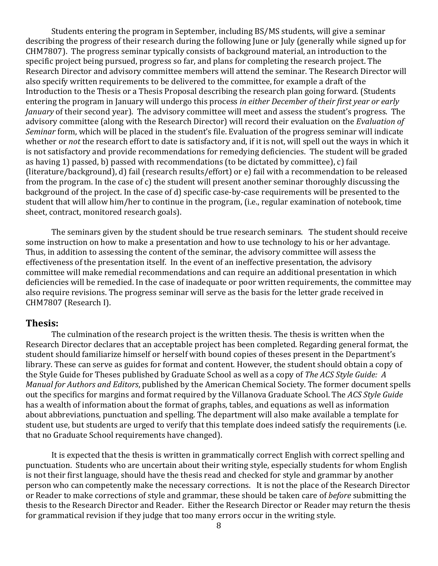Students entering the program in September, including BS/MS students, will give a seminar describing the progress of their research during the following June or July (generally while signed up for CHM7807). The progress seminar typically consists of background material, an introduction to the specific project being pursued, progress so far, and plans for completing the research project. The Research Director and advisory committee members will attend the seminar. The Research Director will also specify written requirements to be delivered to the committee, for example a draft of the Introduction to the Thesis or a Thesis Proposal describing the research plan going forward. (Students entering the program in January will undergo this process *in either December of their first year or early January* of their second year). The advisory committee will meet and assess the student's progress. The advisory committee (along with the Research Director) will record their evaluation on the *Evaluation of Seminar* form, which will be placed in the student's file. Evaluation of the progress seminar will indicate whether or *not* the research effort to date is satisfactory and, if it is not, will spell out the ways in which it is not satisfactory and provide recommendations for remedying deficiencies. The student will be graded as having 1) passed, b) passed with recommendations (to be dictated by committee), c) fail (literature/background), d) fail (research results/effort) or e) fail with a recommendation to be released from the program. In the case of c) the student will present another seminar thoroughly discussing the background of the project. In the case of d) specific case-by-case requirements will be presented to the student that will allow him/her to continue in the program, (i.e., regular examination of notebook, time sheet, contract, monitored research goals).

The seminars given by the student should be true research seminars. The student should receive some instruction on how to make a presentation and how to use technology to his or her advantage. Thus, in addition to assessing the content of the seminar, the advisory committee will assess the effectiveness of the presentation itself. In the event of an ineffective presentation, the advisory committee will make remedial recommendations and can require an additional presentation in which deficiencies will be remedied. In the case of inadequate or poor written requirements, the committee may also require revisions. The progress seminar will serve as the basis for the letter grade received in CHM7807 (Research I).

#### **Thesis:**

The culmination of the research project is the written thesis. The thesis is written when the Research Director declares that an acceptable project has been completed. Regarding general format, the student should familiarize himself or herself with bound copies of theses present in the Department's library. These can serve as guides for format and content. However, the student should obtain a copy of the Style Guide for Theses published by Graduate School as well as a copy of *The ACS Style Guide:* A *Manual for Authors and Editors*, published by the American Chemical Society. The former document spells out the specifics for margins and format required by the Villanova Graduate School. The *ACS Style Guide* has a wealth of information about the format of graphs, tables, and equations as well as information about abbreviations, punctuation and spelling. The department will also make available a template for student use, but students are urged to verify that this template does indeed satisfy the requirements (i.e. that no Graduate School requirements have changed).

It is expected that the thesis is written in grammatically correct English with correct spelling and punctuation. Students who are uncertain about their writing style, especially students for whom English is not their first language, should have the thesis read and checked for style and grammar by another person who can competently make the necessary corrections. It is not the place of the Research Director or Reader to make corrections of style and grammar, these should be taken care of *before* submitting the thesis to the Research Director and Reader. Either the Research Director or Reader may return the thesis for grammatical revision if they judge that too many errors occur in the writing style.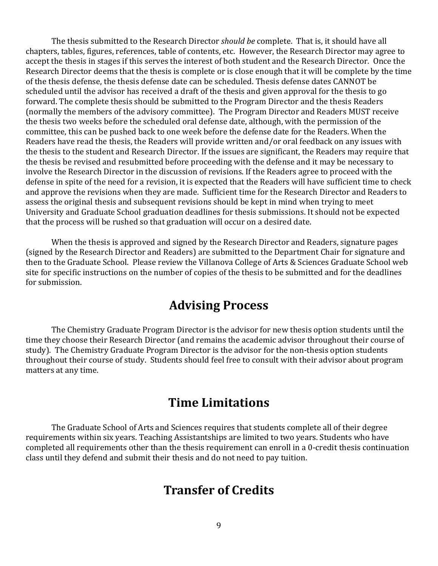The thesis submitted to the Research Director *should be* complete. That is, it should have all chapters, tables, figures, references, table of contents, etc. However, the Research Director mav agree to accept the thesis in stages if this serves the interest of both student and the Research Director. Once the Research Director deems that the thesis is complete or is close enough that it will be complete by the time of the thesis defense, the thesis defense date can be scheduled. Thesis defense dates CANNOT be scheduled until the advisor has received a draft of the thesis and given approval for the thesis to go forward. The complete thesis should be submitted to the Program Director and the thesis Readers (normally the members of the advisory committee). The Program Director and Readers MUST receive the thesis two weeks before the scheduled oral defense date, although, with the permission of the committee, this can be pushed back to one week before the defense date for the Readers. When the Readers have read the thesis, the Readers will provide written and/or oral feedback on any issues with the thesis to the student and Research Director. If the issues are significant, the Readers may require that the thesis be revised and resubmitted before proceeding with the defense and it may be necessary to involve the Research Director in the discussion of revisions. If the Readers agree to proceed with the defense in spite of the need for a revision, it is expected that the Readers will have sufficient time to check and approve the revisions when they are made. Sufficient time for the Research Director and Readers to assess the original thesis and subsequent revisions should be kept in mind when trying to meet University and Graduate School graduation deadlines for thesis submissions. It should not be expected that the process will be rushed so that graduation will occur on a desired date.

When the thesis is approved and signed by the Research Director and Readers, signature pages (signed by the Research Director and Readers) are submitted to the Department Chair for signature and then to the Graduate School. Please review the Villanova College of Arts & Sciences Graduate School web site for specific instructions on the number of copies of the thesis to be submitted and for the deadlines for submission.

### **Advising Process**

The Chemistry Graduate Program Director is the advisor for new thesis option students until the time they choose their Research Director (and remains the academic advisor throughout their course of study). The Chemistry Graduate Program Director is the advisor for the non-thesis option students throughout their course of study. Students should feel free to consult with their advisor about program matters at any time.

### **Time Limitations**

The Graduate School of Arts and Sciences requires that students complete all of their degree requirements within six years. Teaching Assistantships are limited to two years. Students who have completed all requirements other than the thesis requirement can enroll in a 0-credit thesis continuation class until they defend and submit their thesis and do not need to pay tuition.

### **Transfer of Credits**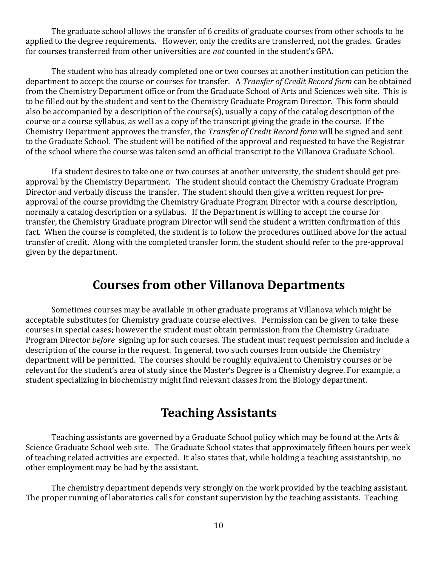The graduate school allows the transfer of 6 credits of graduate courses from other schools to be applied to the degree requirements. However, only the credits are transferred, not the grades. Grades for courses transferred from other universities are *not* counted in the student's GPA.

The student who has already completed one or two courses at another institution can petition the department to accept the course or courses for transfer. A *Transfer of Credit Record form* can be obtained from the Chemistry Department office or from the Graduate School of Arts and Sciences web site. This is to be filled out by the student and sent to the Chemistry Graduate Program Director. This form should also be accompanied by a description of the course(s), usually a copy of the catalog description of the course or a course syllabus, as well as a copy of the transcript giving the grade in the course. If the Chemistry Department approves the transfer, the *Transfer of Credit Record form* will be signed and sent to the Graduate School. The student will be notified of the approval and requested to have the Registrar of the school where the course was taken send an official transcript to the Villanova Graduate School.

If a student desires to take one or two courses at another university, the student should get preapproval by the Chemistry Department. The student should contact the Chemistry Graduate Program Director and verbally discuss the transfer. The student should then give a written request for preapproval of the course providing the Chemistry Graduate Program Director with a course description, normally a catalog description or a syllabus. If the Department is willing to accept the course for transfer, the Chemistry Graduate program Director will send the student a written confirmation of this fact. When the course is completed, the student is to follow the procedures outlined above for the actual transfer of credit. Along with the completed transfer form, the student should refer to the pre-approval given by the department.

### **Courses from other Villanova Departments**

Sometimes courses may be available in other graduate programs at Villanova which might be acceptable substitutes for Chemistry graduate course electives. Permission can be given to take these courses in special cases; however the student must obtain permission from the Chemistry Graduate Program Director *before* signing up for such courses. The student must request permission and include a description of the course in the request. In general, two such courses from outside the Chemistry department will be permitted. The courses should be roughly equivalent to Chemistry courses or be relevant for the student's area of study since the Master's Degree is a Chemistry degree. For example, a student specializing in biochemistry might find relevant classes from the Biology department.

### **Teaching Assistants**

Teaching assistants are governed by a Graduate School policy which may be found at the Arts  $\&$ Science Graduate School web site. The Graduate School states that approximately fifteen hours per week of teaching related activities are expected. It also states that, while holding a teaching assistantship, no other employment may be had by the assistant.

The chemistry department depends very strongly on the work provided by the teaching assistant. The proper running of laboratories calls for constant supervision by the teaching assistants. Teaching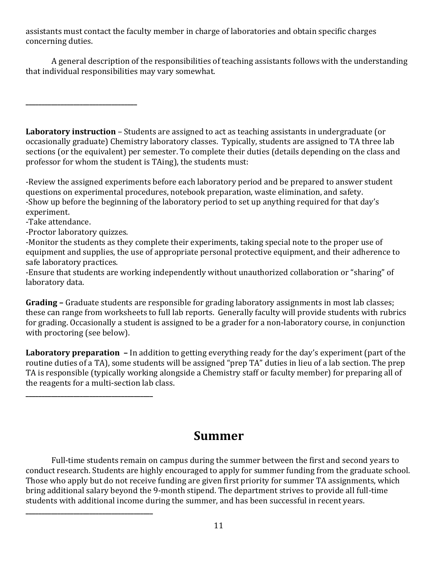assistants must contact the faculty member in charge of laboratories and obtain specific charges concerning duties.

A general description of the responsibilities of teaching assistants follows with the understanding that individual responsibilities may vary somewhat.

**Laboratory instruction** – Students are assigned to act as teaching assistants in undergraduate (or occasionally graduate) Chemistry laboratory classes. Typically, students are assigned to TA three lab sections (or the equivalent) per semester. To complete their duties (details depending on the class and professor for whom the student is TAing), the students must:

-Review the assigned experiments before each laboratory period and be prepared to answer student questions on experimental procedures, notebook preparation, waste elimination, and safety. -Show up before the beginning of the laboratory period to set up anything required for that day's experiment.

-Take attendance.

-Proctor laboratory quizzes.

**\_\_\_\_\_\_\_\_\_\_\_\_\_\_\_\_\_\_\_\_\_\_\_\_\_\_\_\_\_\_\_\_\_\_\_\_\_\_\_\_**

**\_\_\_\_\_\_\_\_\_\_\_\_\_\_\_\_\_\_\_\_\_\_\_\_\_\_\_\_\_\_\_\_\_\_\_**

-Monitor the students as they complete their experiments, taking special note to the proper use of equipment and supplies, the use of appropriate personal protective equipment, and their adherence to safe laboratory practices.

-Ensure that students are working independently without unauthorized collaboration or "sharing" of laboratory data.

Grading - Graduate students are responsible for grading laboratory assignments in most lab classes; these can range from worksheets to full lab reports. Generally faculty will provide students with rubrics for grading. Occasionally a student is assigned to be a grader for a non-laboratory course, in conjunction with proctoring (see below).

**Laboratory preparation** – In addition to getting everything ready for the day's experiment (part of the routine duties of a TA), some students will be assigned "prep TA" duties in lieu of a lab section. The prep TA is responsible (typically working alongside a Chemistry staff or faculty member) for preparing all of the reagents for a multi-section lab class.

### **Summer**

Full-time students remain on campus during the summer between the first and second years to conduct research. Students are highly encouraged to apply for summer funding from the graduate school. Those who apply but do not receive funding are given first priority for summer TA assignments, which bring additional salary beyond the 9-month stipend. The department strives to provide all full-time students with additional income during the summer, and has been successful in recent years. **\_\_\_\_\_\_\_\_\_\_\_\_\_\_\_\_\_\_\_\_\_\_\_\_\_\_\_\_\_\_\_\_\_\_\_\_\_\_\_\_**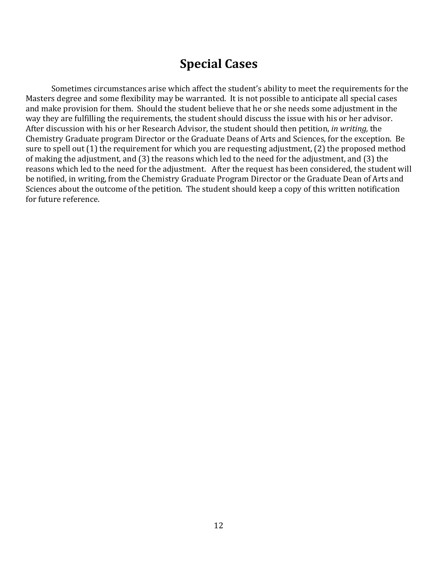### **Special Cases**

Sometimes circumstances arise which affect the student's ability to meet the requirements for the Masters degree and some flexibility may be warranted. It is not possible to anticipate all special cases and make provision for them. Should the student believe that he or she needs some adjustment in the way they are fulfilling the requirements, the student should discuss the issue with his or her advisor. After discussion with his or her Research Advisor, the student should then petition, *in writing*, the Chemistry Graduate program Director or the Graduate Deans of Arts and Sciences, for the exception. Be sure to spell out (1) the requirement for which you are requesting adjustment, (2) the proposed method of making the adjustment, and  $(3)$  the reasons which led to the need for the adjustment, and  $(3)$  the reasons which led to the need for the adjustment. After the request has been considered, the student will be notified, in writing, from the Chemistry Graduate Program Director or the Graduate Dean of Arts and Sciences about the outcome of the petition. The student should keep a copy of this written notification for future reference.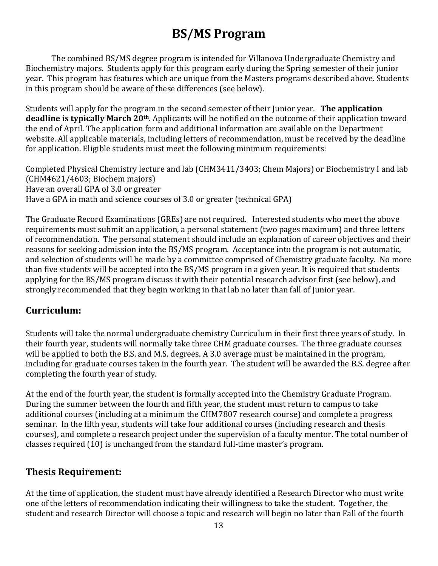# **BS/MS Program**

The combined BS/MS degree program is intended for Villanova Undergraduate Chemistry and Biochemistry majors. Students apply for this program early during the Spring semester of their junior year. This program has features which are unique from the Masters programs described above. Students in this program should be aware of these differences (see below).

Students will apply for the program in the second semester of their Junior year. **The application deadline is typically March 20<sup>th</sup>**. Applicants will be notified on the outcome of their application toward the end of April. The application form and additional information are available on the Department website. All applicable materials, including letters of recommendation, must be received by the deadline for application. Eligible students must meet the following minimum requirements:

Completed Physical Chemistry lecture and lab (CHM3411/3403; Chem Majors) or Biochemistry I and lab  $[CHM4621/4603; Biochem \, majors]$ Have an overall GPA of 3.0 or greater Have a GPA in math and science courses of 3.0 or greater (technical GPA)

The Graduate Record Examinations (GREs) are not required. Interested students who meet the above requirements must submit an application, a personal statement (two pages maximum) and three letters of recommendation. The personal statement should include an explanation of career objectives and their reasons for seeking admission into the BS/MS program. Acceptance into the program is not automatic, and selection of students will be made by a committee comprised of Chemistry graduate faculty. No more than five students will be accepted into the BS/MS program in a given year. It is required that students applying for the BS/MS program discuss it with their potential research advisor first (see below), and strongly recommended that they begin working in that lab no later than fall of Junior year.

### **Curriculum:**

Students will take the normal undergraduate chemistry Curriculum in their first three years of study. In their fourth year, students will normally take three CHM graduate courses. The three graduate courses will be applied to both the B.S. and M.S. degrees. A 3.0 average must be maintained in the program, including for graduate courses taken in the fourth year. The student will be awarded the B.S. degree after completing the fourth year of study.

At the end of the fourth year, the student is formally accepted into the Chemistry Graduate Program. During the summer between the fourth and fifth year, the student must return to campus to take additional courses (including at a minimum the CHM7807 research course) and complete a progress seminar. In the fifth year, students will take four additional courses (including research and thesis courses), and complete a research project under the supervision of a faculty mentor. The total number of classes required (10) is unchanged from the standard full-time master's program.

### **Thesis Requirement:**

At the time of application, the student must have already identified a Research Director who must write one of the letters of recommendation indicating their willingness to take the student. Together, the student and research Director will choose a topic and research will begin no later than Fall of the fourth